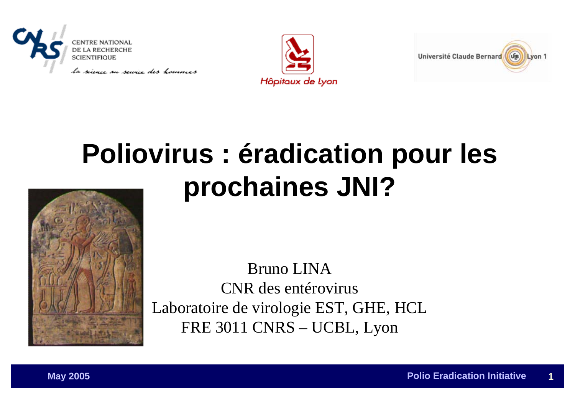

Hôpitaux de Lyon



# **Poliovirus : éradication pour les prochaines JNI?**



Bruno LINACNR des entérovirusLaboratoire de virologie EST, GHE, HCL FRE 3011 CNRS – UCBL, Lyon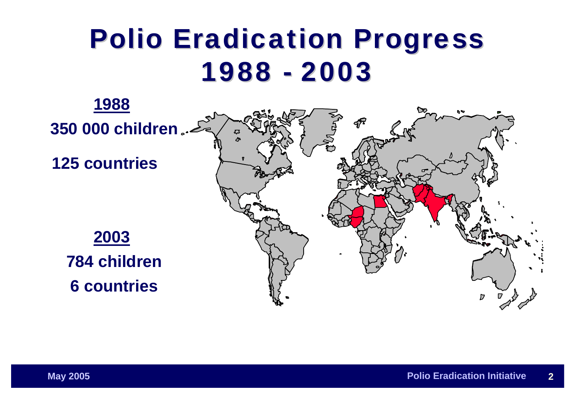# **Polio Eradication Progress** 1988 -2003

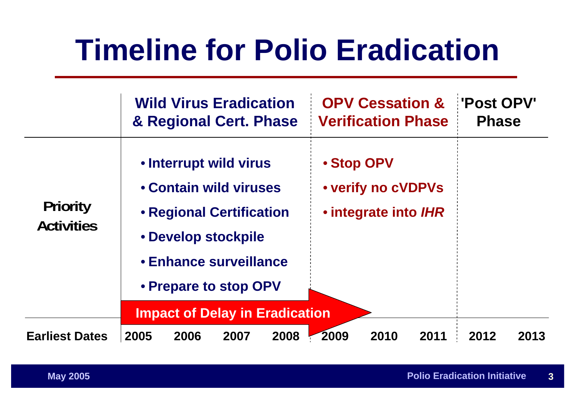# **Timeline for Polio Eradication**

|                                      |      |      | <b>Wild Virus Eradication</b><br>& Regional Cert. Phase                                                                                                                   |      |      | <b>OPV Cessation &amp;</b><br><b>Verification Phase</b>         |      | <b>Post OPV'</b><br><b>Phase</b> |      |
|--------------------------------------|------|------|---------------------------------------------------------------------------------------------------------------------------------------------------------------------------|------|------|-----------------------------------------------------------------|------|----------------------------------|------|
| <b>Priority</b><br><b>Activities</b> |      |      | · Interrupt wild virus<br><b>Contain wild viruses</b><br><b>· Regional Certification</b><br>· Develop stockpile<br><b>· Enhance surveillance</b><br>• Prepare to stop OPV |      |      | · Stop OPV<br><b>• verify no cVDPVs</b><br>· integrate into IHR |      |                                  |      |
|                                      |      |      | <b>Impact of Delay in Eradication</b>                                                                                                                                     |      |      |                                                                 |      |                                  |      |
| <b>Earliest Dates</b>                | 2005 | 2006 | 2007                                                                                                                                                                      | 2008 | 2009 | 2010                                                            | 2011 | 2012                             | 2013 |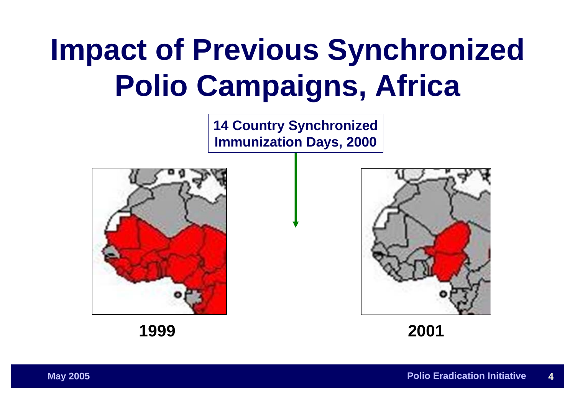# **Impact of Previous Synchronized Polio Campaigns, Africa**

**14 Country Synchronized Immunization Days, 2000**



**2001**

**1999**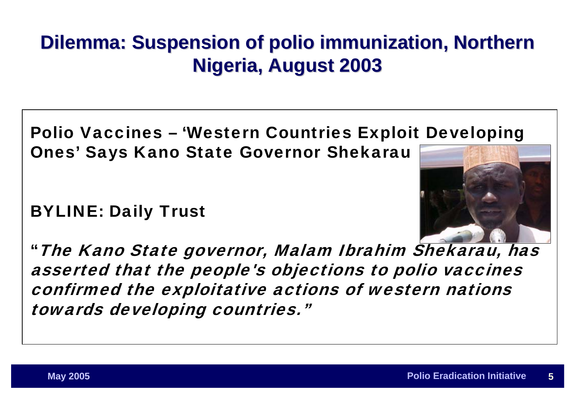# **Dilemma: Suspension of polio immunization, Northern Nigeria, August 2003 Nigeria, August 2003**

### Polio Vaccines – 'Western Countries Exploit Developing Ones' Says Kano State Governor Shekarau

### BYLINE: Daily Trust



"The Kano State governor, Malam Ibrahim Shekarau, has asserted that the people's objections to polio vaccines confirmed the exploitative actions of western nations towards developing countries."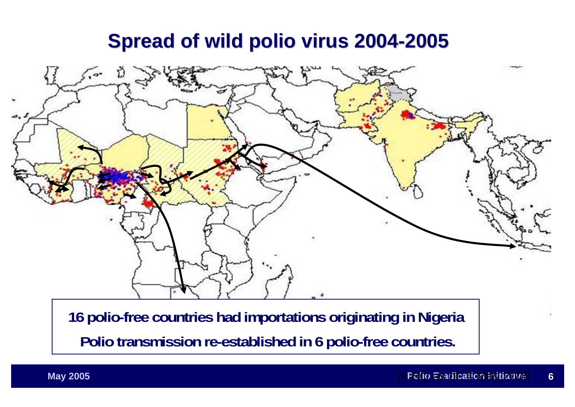## **Spread of wild polio virus 2004 Spread of wild polio virus 2004-2005**



**16 polio-free countries had importations originating in Nigeria Polio transmission re-established in 6 polio-free countries.**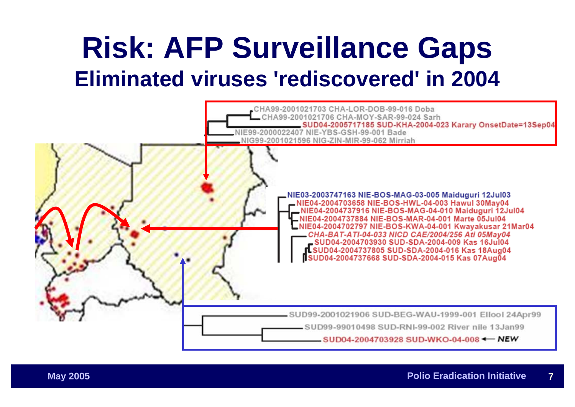# **Risk: AFP Surveillance Gaps Eliminated viruses 'rediscovered' in 2004**

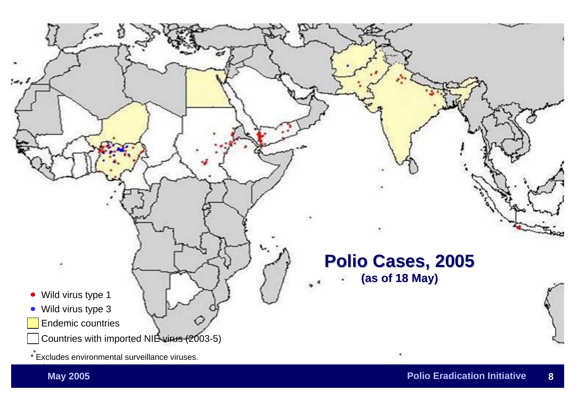

#### **Polio Cases, 2005 Polio Cases, 2005 (as of 18 May) (as of 18 May)**

• Wild virus type 1

۰

- Wild virus type 3
- Endemic countries
	- Countries with imported NIE virus (2003-5)
- \* Excludes environmental surveillance viruses.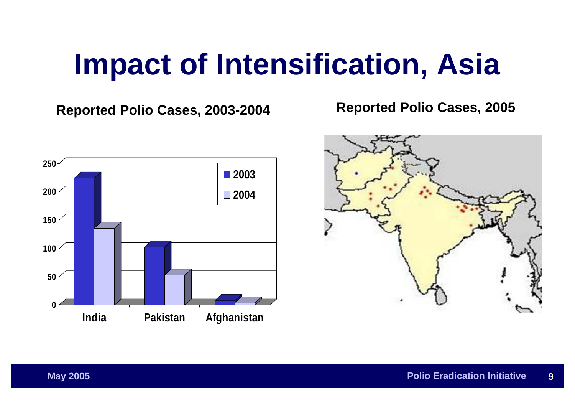# **Impact of Intensification, Asia**

**Reported Polio Cases, 2003-2004 Reported Polio Cases, 2005**



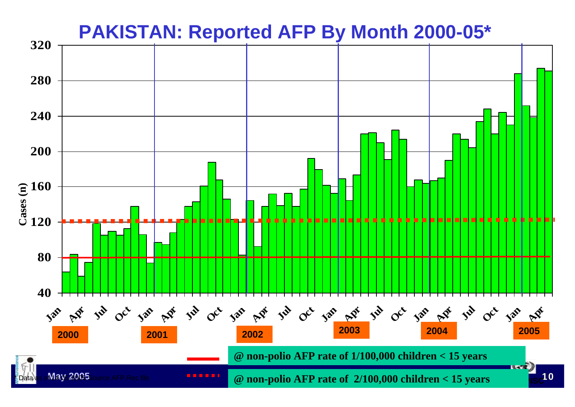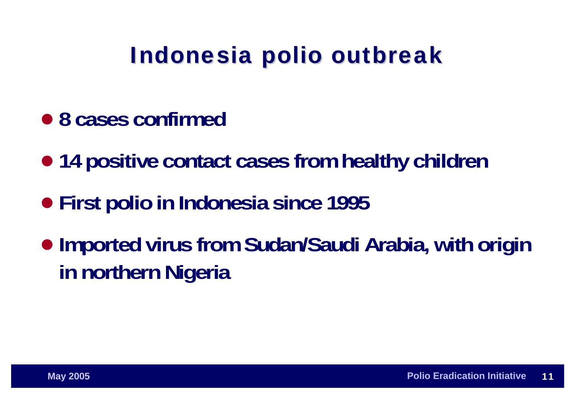# Indonesia polio outbreak

- $\bullet$  **8 cases confirmed**
- **14 positive contact cases from healthy children**
- **First polio in Indonesia since 1995**
- $\bullet$  **Imported virus from Sudan/Saudi Arabia, with origin in northern Nigeria**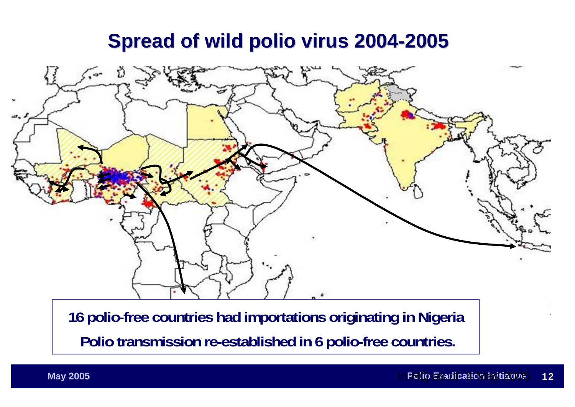## **Spread of wild polio virus 2004 Spread of wild polio virus 2004-2005**



**16 polio-free countries had importations originating in Nigeria Polio transmission re-established in 6 polio-free countries.**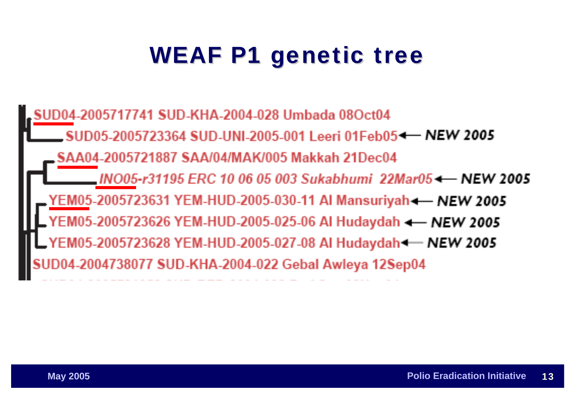# WEAF P1 genetic tree

04-2005717741 SUD-KHA-2004-028 Umbada 08Oct04 SUD05-2005723364 SUD-UNI-2005-001 Leeri 01Feb05 - NEW 2005 SAA04-2005721887 SAA/04/MAK/005 Makkah 21Dec04 INO05-r31195 ERC 10 06 05 003 Sukabhumi 22Mar05 + NEW 2005 YEM05-2005723631 YEM-HUD-2005-030-11 AI Mansuriyah-— NEW 2005 05-2005723626 YEM-HUD-2005-025-06 Al Hudaydah <- NEW 2005 YEM05-2005723628 YEM-HUD-2005-027-08 AI Hudaydah - NEW 2005 04738077 SUD-KHA-2004-022 Gebal Awleya 12Sep04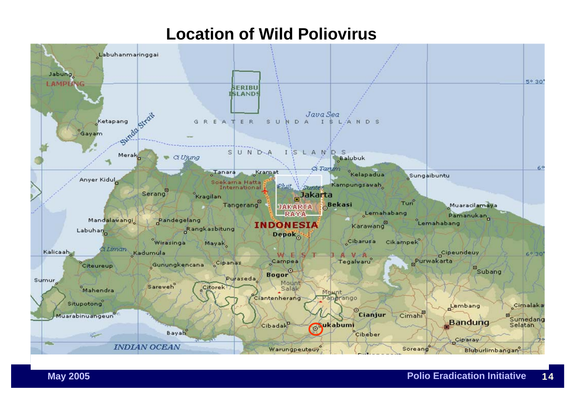### **Location of Wild Poliovirus**

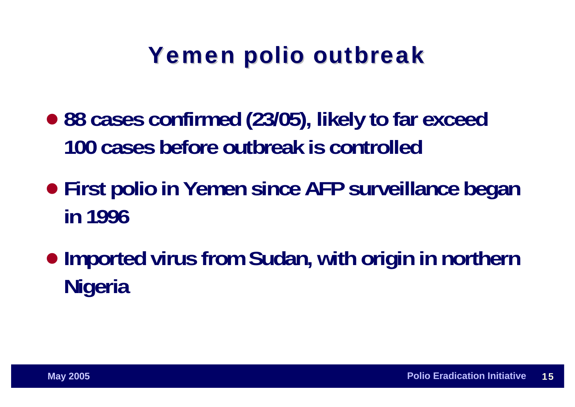# Yemen polio outbreak

- $\bullet$  **88 cases confirmed (23/05), likely to far exceed 100 cases before outbreak is controlled**
- **First polio in Yemen since AFP surveillance began in 1996**
- **Imported virus from Sudan, with origin in northern Nigeria**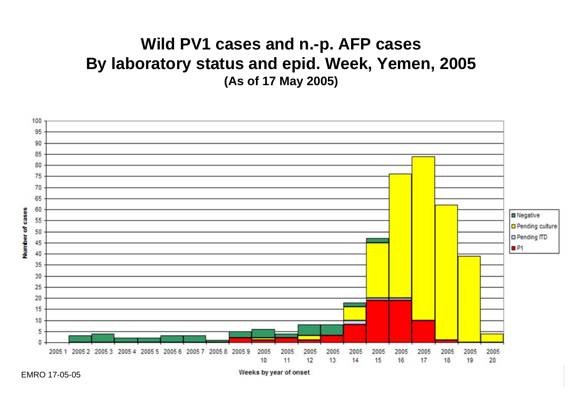### **Wild PV1 cases and n.-p. AFP cases By laboratory status and epid. Week, Yemen, 2005 (As of 17 May 2005)**



**May 2005 Point Institute Lewis System Construction Institute and System Initiative Information Institute and System Institute of the System Institute of the System Institute of the System Institute of the System Institu** 

EMRO 17-05-05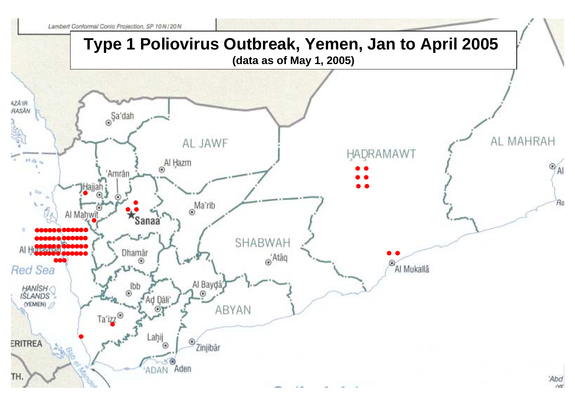

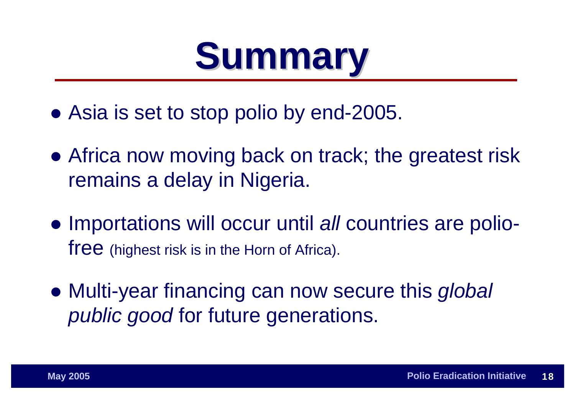# **Summary Summary**

- Asia is set to stop polio by end-2005.
- Africa now moving back on track; the greatest risk remains a delay in Nigeria.
- **Importations will occur until** *all* **countries are poliofree** (highest risk is in the Horn of Africa).
- **Multi-year financing can now secure this global** *public good* for future generations.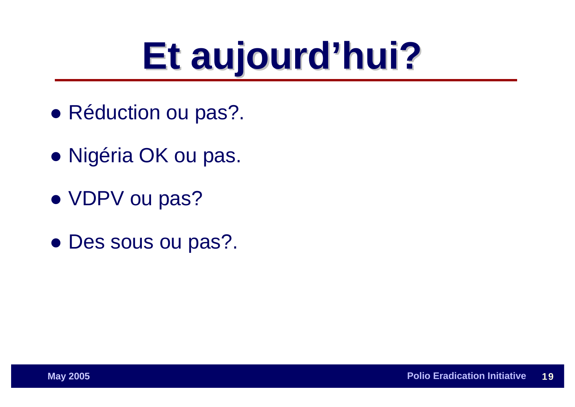# **Et aujourd aujourd'hui?**

- Réduction ou pas?.
- **Nigéria OK ou pas.**
- VDPV ou pas?
- Des sous ou pas?.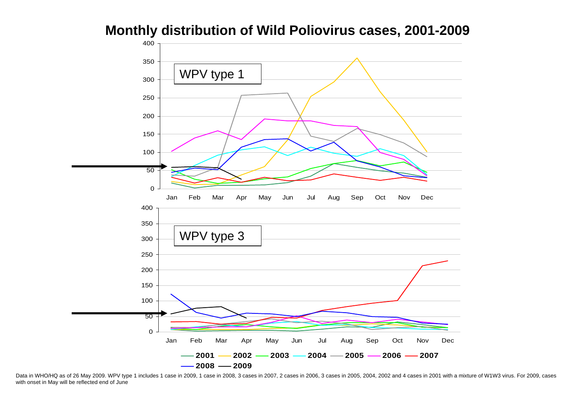**Monthly distribution of Wild Poliovirus cases, 2001-2009**



Data in WHO/HQ as of 26 May 2009. WPV type 1 includes 1 case in 2009, 1 case in 2008, 3 cases in 2007, 2 cases in 2006, 3 cases in 2005, 2004, 2002 and 4 cases in 2001 with a mixture of W1W3 virus. For 2009, cases with onset in May will be reflected end of June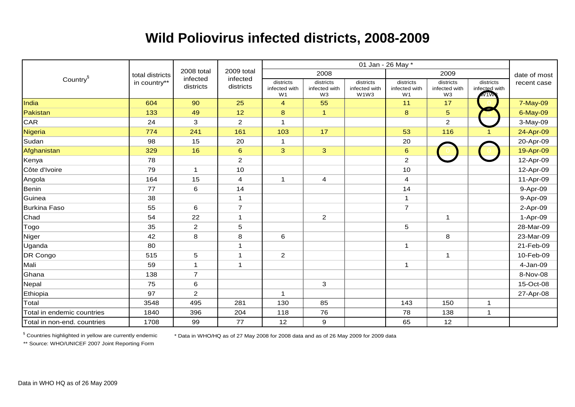#### **Wild Poliovirus infected districts, 2008-2009**

|                             | total districts<br>in country** | 2008 total<br>infected<br>districts | 2009 total<br>infected<br>districts |                                              |                                              |                                    |                                              |                                  |                                   |              |
|-----------------------------|---------------------------------|-------------------------------------|-------------------------------------|----------------------------------------------|----------------------------------------------|------------------------------------|----------------------------------------------|----------------------------------|-----------------------------------|--------------|
| Country <sup>§</sup>        |                                 |                                     |                                     |                                              | 2008                                         |                                    | 2009                                         |                                  |                                   | date of most |
|                             |                                 |                                     |                                     | districts<br>infected with<br>W <sub>1</sub> | districts<br>infected with<br>W <sub>3</sub> | districts<br>infected with<br>W1W3 | districts<br>infected with<br>W <sub>1</sub> | districts<br>infected with<br>W3 | districts<br>infected with<br>W1W | recent case  |
| India                       | 604                             | 90                                  | 25                                  | $\overline{4}$                               | 55                                           |                                    | 11                                           | 17                               |                                   | 7-May-09     |
| Pakistan                    | 133                             | 49                                  | 12                                  | $\bf8$                                       | $\mathbf{1}$                                 |                                    | 8                                            | 5                                |                                   | 6-May-09     |
| CAR                         | 24                              | $\mathbf{3}$                        | $\overline{2}$                      | $\overline{1}$                               |                                              |                                    |                                              | $\overline{a}$                   |                                   | 3-May-09     |
| <b>Nigeria</b>              | 774                             | 241                                 | 161                                 | 103                                          | 17                                           |                                    | 53                                           | 116                              |                                   | 24-Apr-09    |
| Sudan                       | 98                              | 15                                  | 20                                  | $\mathbf{1}$                                 |                                              |                                    | 20                                           |                                  |                                   | 20-Apr-09    |
| Afghanistan                 | 329                             | 16                                  | $6\phantom{1}6$                     | 3                                            | 3                                            |                                    | $6\phantom{a}$                               |                                  |                                   | 19-Apr-09    |
| Kenya                       | 78                              |                                     | $\sqrt{2}$                          |                                              |                                              |                                    | $\overline{2}$                               |                                  |                                   | 12-Apr-09    |
| Côte d'Ivoire               | 79                              | $\mathbf{1}$                        | 10                                  |                                              |                                              |                                    | 10                                           |                                  |                                   | 12-Apr-09    |
| Angola                      | 164                             | 15                                  | $\overline{4}$                      | 1                                            | 4                                            |                                    | $\overline{4}$                               |                                  |                                   | 11-Apr-09    |
| Benin                       | 77                              | 6                                   | 14                                  |                                              |                                              |                                    | 14                                           |                                  |                                   | 9-Apr-09     |
| Guinea                      | 38                              |                                     | $\mathbf{1}$                        |                                              |                                              |                                    | 1                                            |                                  |                                   | 9-Apr-09     |
| <b>Burkina Faso</b>         | 55                              | 6                                   | $\overline{7}$                      |                                              |                                              |                                    | $\overline{7}$                               |                                  |                                   | 2-Apr-09     |
| Chad                        | 54                              | 22                                  | $\mathbf{1}$                        |                                              | $\overline{2}$                               |                                    |                                              | $\mathbf{1}$                     |                                   | 1-Apr-09     |
| Togo                        | 35                              | $\overline{2}$                      | $\sqrt{5}$                          |                                              |                                              |                                    | 5                                            |                                  |                                   | 28-Mar-09    |
| Niger                       | 42                              | 8                                   | 8                                   | 6                                            |                                              |                                    |                                              | 8                                |                                   | 23-Mar-09    |
| Uganda                      | 80                              |                                     | $\mathbf{1}$                        |                                              |                                              |                                    | $\mathbf{1}$                                 |                                  |                                   | 21-Feb-09    |
| DR Congo                    | 515                             | $\mathbf 5$                         | $\mathbf{1}$                        | $\overline{2}$                               |                                              |                                    |                                              | $\mathbf{1}$                     |                                   | 10-Feb-09    |
| Mali                        | 59                              | $\mathbf 1$                         | $\mathbf{1}$                        |                                              |                                              |                                    | $\mathbf 1$                                  |                                  |                                   | 4-Jan-09     |
| Ghana                       | 138                             | $\overline{7}$                      |                                     |                                              |                                              |                                    |                                              |                                  |                                   | 8-Nov-08     |
| Nepal                       | 75                              | $\,6$                               |                                     |                                              | $\mathbf 3$                                  |                                    |                                              |                                  |                                   | 15-Oct-08    |
| Ethiopia                    | 97                              | $\overline{2}$                      |                                     | $\mathbf{1}$                                 |                                              |                                    |                                              |                                  |                                   | 27-Apr-08    |
| Total                       | 3548                            | 495                                 | 281                                 | 130                                          | 85                                           |                                    | 143                                          | 150                              | $\mathbf 1$                       |              |
| Total in endemic countries  | 1840                            | 396                                 | 204                                 | 118                                          | 76                                           |                                    | 78                                           | 138                              | $\mathbf{1}$                      |              |
| Total in non-end. countries | 1708                            | 99                                  | 77                                  | 12                                           | $\boldsymbol{9}$                             |                                    | 65                                           | 12                               |                                   |              |

§ Countries highlighted in yellow are currently endemic \* Data in WHO/HQ as of 27 May 2008 for 2008 data and as of 26 May 2009 for 2009 data

\*\* Source: WHO/UNICEF 2007 Joint Reporting Form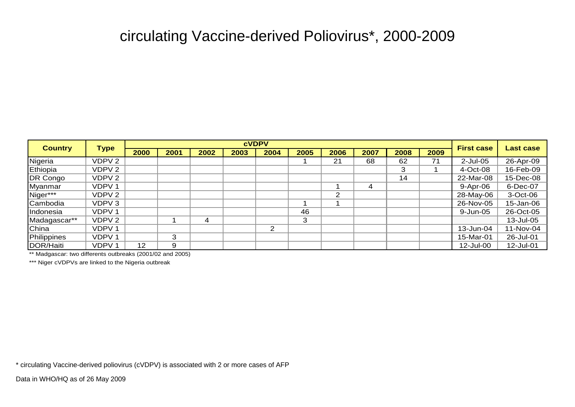#### circulating Vaccine-derived Poliovirus\*, 2000-2009

| <b>Country</b> | <b>Type</b>       | <b>CVDPV</b> |      |      |      |      |      |                |      |      |      |                   |           |
|----------------|-------------------|--------------|------|------|------|------|------|----------------|------|------|------|-------------------|-----------|
|                |                   | 2000         | 2001 | 2002 | 2003 | 2004 | 2005 | 2006           | 2007 | 2008 | 2009 | <b>First case</b> | Last case |
| Nigeria        | VDPV 2            |              |      |      |      |      |      | 21             | 68   | 62   | 71   | $2$ -Jul-05       | 26-Apr-09 |
| Ethiopia       | VDPV 2            |              |      |      |      |      |      |                |      | 3    |      | $4$ -Oct-08       | 16-Feb-09 |
| DR Congo       | VDPV 2            |              |      |      |      |      |      |                |      | 14   |      | 22-Mar-08         | 15-Dec-08 |
| Myanmar        | VDPV <sub>1</sub> |              |      |      |      |      |      |                | 4    |      |      | 9-Apr-06          | 6-Dec-07  |
| Niger***       | VDPV 2            |              |      |      |      |      |      | $\overline{2}$ |      |      |      | 28-May-06         | 3-Oct-06  |
| Cambodia       | VDPV 3            |              |      |      |      |      |      |                |      |      |      | 26-Nov-05         | 15-Jan-06 |
| Indonesia      | VDPV <sub>1</sub> |              |      |      |      |      | 46   |                |      |      |      | 9-Jun-05          | 26-Oct-05 |
| Madagascar**   | VDPV 2            |              |      | 4    |      |      | 3    |                |      |      |      |                   | 13-Jul-05 |
| China          | VDPV <sub>1</sub> |              |      |      |      | 2    |      |                |      |      |      | 13-Jun-04         | 11-Nov-04 |
| Philippines    | VDPV <sub>1</sub> |              | 3    |      |      |      |      |                |      |      |      | 15-Mar-01         | 26-Jul-01 |
| DOR/Haiti      | VDPV1             | 12           | 9    |      |      |      |      |                |      |      |      | 12-Jul-00         | 12-Jul-01 |

\*\* Madgascar: two differents outbreaks (2001/02 and 2005)

\*\*\* Niger cVDPVs are linked to the Nigeria outbreak

\* circulating Vaccine-derived poliovirus (cVDPV) is associated with 2 or more cases of AFP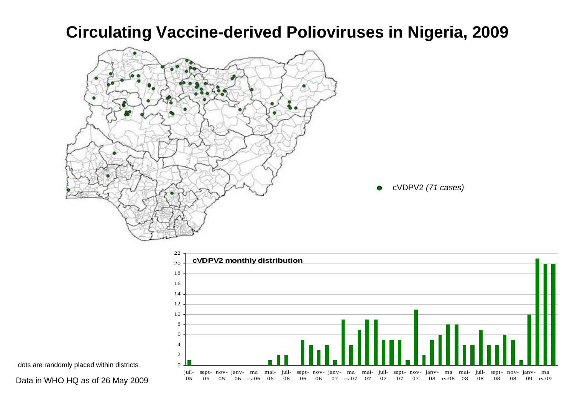### **Circulating Vaccine-derived Polioviruses in Nigeria, 2009**